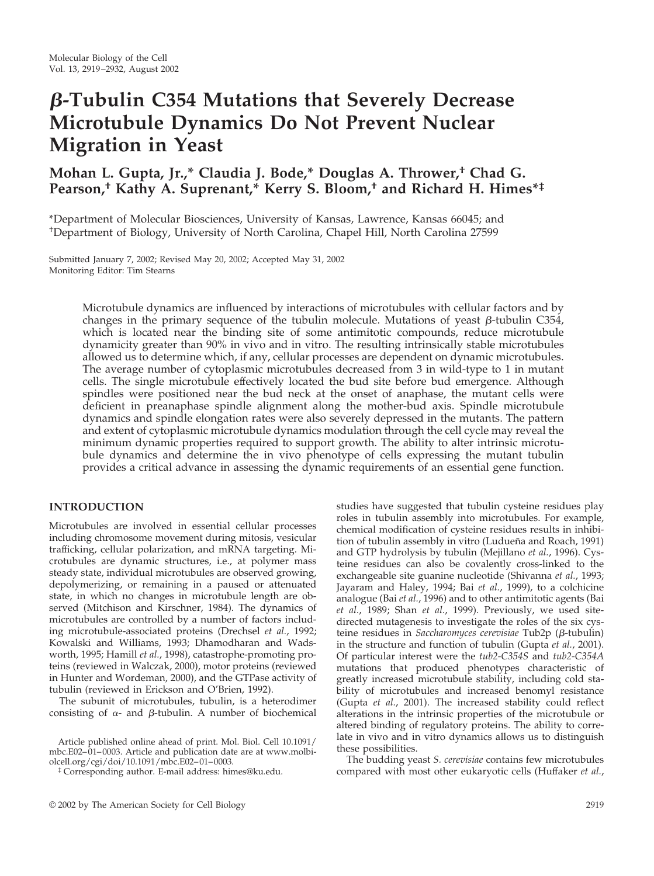# **-Tubulin C354 Mutations that Severely Decrease Microtubule Dynamics Do Not Prevent Nuclear Migration in Yeast**

# **Mohan L. Gupta, Jr.,\* Claudia J. Bode,\* Douglas A. Thrower,† Chad G. Pearson,† Kathy A. Suprenant,\* Kerry S. Bloom,† and Richard H. Himes\*‡**

\*Department of Molecular Biosciences, University of Kansas, Lawrence, Kansas 66045; and † Department of Biology, University of North Carolina, Chapel Hill, North Carolina 27599

Submitted January 7, 2002; Revised May 20, 2002; Accepted May 31, 2002 Monitoring Editor: Tim Stearns

> Microtubule dynamics are influenced by interactions of microtubules with cellular factors and by changes in the primary sequence of the tubulin molecule. Mutations of yeast  $\beta$ -tubulin C354, which is located near the binding site of some antimitotic compounds, reduce microtubule dynamicity greater than 90% in vivo and in vitro. The resulting intrinsically stable microtubules allowed us to determine which, if any, cellular processes are dependent on dynamic microtubules. The average number of cytoplasmic microtubules decreased from 3 in wild-type to 1 in mutant cells. The single microtubule effectively located the bud site before bud emergence. Although spindles were positioned near the bud neck at the onset of anaphase, the mutant cells were deficient in preanaphase spindle alignment along the mother-bud axis. Spindle microtubule dynamics and spindle elongation rates were also severely depressed in the mutants. The pattern and extent of cytoplasmic microtubule dynamics modulation through the cell cycle may reveal the minimum dynamic properties required to support growth. The ability to alter intrinsic microtubule dynamics and determine the in vivo phenotype of cells expressing the mutant tubulin provides a critical advance in assessing the dynamic requirements of an essential gene function.

#### **INTRODUCTION**

Microtubules are involved in essential cellular processes including chromosome movement during mitosis, vesicular trafficking, cellular polarization, and mRNA targeting. Microtubules are dynamic structures, i.e., at polymer mass steady state, individual microtubules are observed growing, depolymerizing, or remaining in a paused or attenuated state, in which no changes in microtubule length are observed (Mitchison and Kirschner, 1984). The dynamics of microtubules are controlled by a number of factors including microtubule-associated proteins (Drechsel *et al.*, 1992; Kowalski and Williams, 1993; Dhamodharan and Wadsworth, 1995; Hamill *et al.*, 1998), catastrophe-promoting proteins (reviewed in Walczak, 2000), motor proteins (reviewed in Hunter and Wordeman, 2000), and the GTPase activity of tubulin (reviewed in Erickson and O'Brien, 1992).

The subunit of microtubules, tubulin, is a heterodimer consisting of  $\alpha$ - and  $\beta$ -tubulin. A number of biochemical

studies have suggested that tubulin cysteine residues play roles in tubulin assembly into microtubules. For example, chemical modification of cysteine residues results in inhibition of tubulin assembly in vitro (Ludueña and Roach, 1991) and GTP hydrolysis by tubulin (Mejillano *et al.*, 1996). Cysteine residues can also be covalently cross-linked to the exchangeable site guanine nucleotide (Shivanna *et al.*, 1993; Jayaram and Haley, 1994; Bai *et al.*, 1999), to a colchicine analogue (Bai *et al.*, 1996) and to other antimitotic agents (Bai *et al.*, 1989; Shan *et al.*, 1999). Previously, we used sitedirected mutagenesis to investigate the roles of the six cysteine residues in *Saccharomyces cerevisiae* Tub2p ( $\beta$ -tubulin) in the structure and function of tubulin (Gupta *et al.*, 2001). Of particular interest were the *tub2-C354S* and *tub2-C354A* mutations that produced phenotypes characteristic of greatly increased microtubule stability, including cold stability of microtubules and increased benomyl resistance (Gupta *et al.*, 2001). The increased stability could reflect alterations in the intrinsic properties of the microtubule or altered binding of regulatory proteins. The ability to correlate in vivo and in vitro dynamics allows us to distinguish these possibilities.

The budding yeast *S. cerevisiae* contains few microtubules compared with most other eukaryotic cells (Huffaker *et al.*,

Article published online ahead of print. Mol. Biol. Cell 10.1091/ mbc.E02–01–0003. Article and publication date are at www.molbiolcell.org/cgi/doi/10.1091/mbc.E02–01–0003.

<sup>‡</sup> Corresponding author. E-mail address: himes@ku.edu.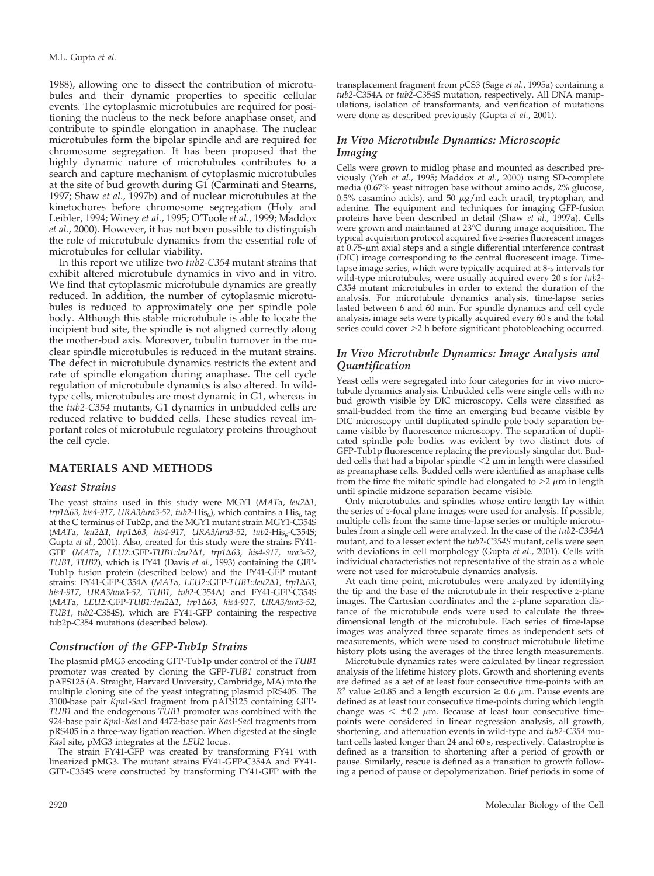1988), allowing one to dissect the contribution of microtubules and their dynamic properties to specific cellular events. The cytoplasmic microtubules are required for positioning the nucleus to the neck before anaphase onset, and contribute to spindle elongation in anaphase. The nuclear microtubules form the bipolar spindle and are required for chromosome segregation. It has been proposed that the highly dynamic nature of microtubules contributes to a search and capture mechanism of cytoplasmic microtubules at the site of bud growth during G1 (Carminati and Stearns, 1997; Shaw *et al.*, 1997b) and of nuclear microtubules at the kinetochores before chromosome segregation (Holy and Leibler, 1994; Winey *et al.*, 1995; O'Toole *et al.*, 1999; Maddox *et al.*, 2000). However, it has not been possible to distinguish the role of microtubule dynamics from the essential role of microtubules for cellular viability.

In this report we utilize two *tub2-C354* mutant strains that exhibit altered microtubule dynamics in vivo and in vitro. We find that cytoplasmic microtubule dynamics are greatly reduced. In addition, the number of cytoplasmic microtubules is reduced to approximately one per spindle pole body. Although this stable microtubule is able to locate the incipient bud site, the spindle is not aligned correctly along the mother-bud axis. Moreover, tubulin turnover in the nuclear spindle microtubules is reduced in the mutant strains. The defect in microtubule dynamics restricts the extent and rate of spindle elongation during anaphase. The cell cycle regulation of microtubule dynamics is also altered. In wildtype cells, microtubules are most dynamic in G1, whereas in the *tub2-C354* mutants, G1 dynamics in unbudded cells are reduced relative to budded cells. These studies reveal important roles of microtubule regulatory proteins throughout the cell cycle.

#### **MATERIALS AND METHODS**

#### *Yeast Strains*

The yeast strains used in this study were MGY1 (*MAT*a, *leu21,*  $trp1\Delta 63$ , his4-917, URA3/ura3-52, tub2-His<sub>6</sub>), which contains a His<sub>6</sub> tag at the C terminus of Tub2p, and the MGY1 mutant strain MGY1-C354S (MATa, *leu2*∆1, trp1∆63, his4-917, URA3/ura3-52, tub2-His<sub>6</sub>-C354S; Gupta *et al.*, 2001). Also, created for this study were the strains FY41- GFP (*MAT*a, *LEU2::*GFP-*TUB1::leu21, trp163, his4-917, ura3-52, TUB1*, *TUB2*), which is FY41 (Davis *et al.*, 1993) containing the GFP-Tub1p fusion protein (described below) and the FY41-GFP mutant strains: FY41-GFP-C354A (*MAT*a, *LEU2::*GFP-*TUB1::leu21, trp163, his4-917, URA3/ura3-52, TUB1*, *tub2*-C354A) and FY41-GFP-C354S (*MAT*a, *LEU2::*GFP-*TUB1::leu21, trp163, his4-917, URA3/ura3-52, TUB1*, *tub2*-C354S), which are FY41-GFP containing the respective tub2p-C354 mutations (described below).

#### *Construction of the GFP-Tub1p Strains*

The plasmid pMG3 encoding GFP-Tub1p under control of the *TUB1* promoter was created by cloning the GFP-*TUB1* construct from pAFS125 (A. Straight, Harvard University, Cambridge, MA) into the multiple cloning site of the yeast integrating plasmid pRS405. The 3100-base pair *Kpn*I-*Sac*I fragment from pAFS125 containing GFP-*TUB1* and the endogenous *TUB1* promoter was combined with the 924-base pair *Kpn*I-*Kas*I and 4472-base pair *Kas*I-*Sac*I fragments from pRS405 in a three-way ligation reaction. When digested at the single *Kas*I site, pMG3 integrates at the *LEU2* locus.

The strain FY41-GFP was created by transforming FY41 with linearized pMG3. The mutant strains FY41-GFP-C354A and FY41- GFP-C354S were constructed by transforming FY41-GFP with the transplacement fragment from pCS3 (Sage *et al.*, 1995a) containing a *tub2*-C354A or *tub2*-C354S mutation, respectively. All DNA manipulations, isolation of transformants, and verification of mutations were done as described previously (Gupta *et al.*, 2001).

#### *In Vivo Microtubule Dynamics: Microscopic Imaging*

Cells were grown to midlog phase and mounted as described previously (Yeh *et al.*, 1995; Maddox *et al.*, 2000) using SD-complete media (0.67% yeast nitrogen base without amino acids, 2% glucose, 0.5% casamino acids), and 50  $\mu$ g/ml each uracil, tryptophan, and adenine. The equipment and techniques for imaging GFP-fusion proteins have been described in detail (Shaw *et al.*, 1997a). Cells were grown and maintained at 23°C during image acquisition. The typical acquisition protocol acquired five *z*-series fluorescent images at  $0.75$ - $\mu$ m axial steps and a single differential interference contrast (DIC) image corresponding to the central fluorescent image. Timelapse image series, which were typically acquired at 8-s intervals for wild-type microtubules, were usually acquired every 20 s for *tub2- C354* mutant microtubules in order to extend the duration of the analysis. For microtubule dynamics analysis, time-lapse series lasted between 6 and 60 min. For spindle dynamics and cell cycle analysis, image sets were typically acquired every 60 s and the total series could cover >2 h before significant photobleaching occurred.

#### *In Vivo Microtubule Dynamics: Image Analysis and Quantification*

Yeast cells were segregated into four categories for in vivo microtubule dynamics analysis. Unbudded cells were single cells with no bud growth visible by DIC microscopy. Cells were classified as small-budded from the time an emerging bud became visible by DIC microscopy until duplicated spindle pole body separation became visible by fluorescence microscopy. The separation of duplicated spindle pole bodies was evident by two distinct dots of GFP-Tub1p fluorescence replacing the previously singular dot. Budded cells that had a bipolar spindle  $\langle 2 \rangle$   $\mu$ m in length were classified as preanaphase cells. Budded cells were identified as anaphase cells from the time the mitotic spindle had elongated to  $>$ 2  $\mu$ m in length until spindle midzone separation became visible.

Only microtubules and spindles whose entire length lay within the series of *z*-focal plane images were used for analysis. If possible, multiple cells from the same time-lapse series or multiple microtubules from a single cell were analyzed. In the case of the *tub2-C354A* mutant, and to a lesser extent the *tub2-C354S* mutant, cells were seen with deviations in cell morphology (Gupta *et al.*, 2001). Cells with individual characteristics not representative of the strain as a whole were not used for microtubule dynamics analysis.

At each time point, microtubules were analyzed by identifying the tip and the base of the microtubule in their respective *z*-plane images. The Cartesian coordinates and the *z*-plane separation distance of the microtubule ends were used to calculate the threedimensional length of the microtubule. Each series of time-lapse images was analyzed three separate times as independent sets of measurements, which were used to construct microtubule lifetime history plots using the averages of the three length measurements.

Microtubule dynamics rates were calculated by linear regression analysis of the lifetime history plots. Growth and shortening events are defined as a set of at least four consecutive time-points with an  $R^2$  value  $\geq 0.85$  and a length excursion  $\geq 0.6$   $\mu$ m. Pause events are defined as at least four consecutive time-points during which length change was  $\leq \pm 0.2$   $\mu$ m. Because at least four consecutive timepoints were considered in linear regression analysis, all growth, shortening, and attenuation events in wild-type and *tub2-C354* mutant cells lasted longer than 24 and 60 s, respectively. Catastrophe is defined as a transition to shortening after a period of growth or pause. Similarly, rescue is defined as a transition to growth following a period of pause or depolymerization. Brief periods in some of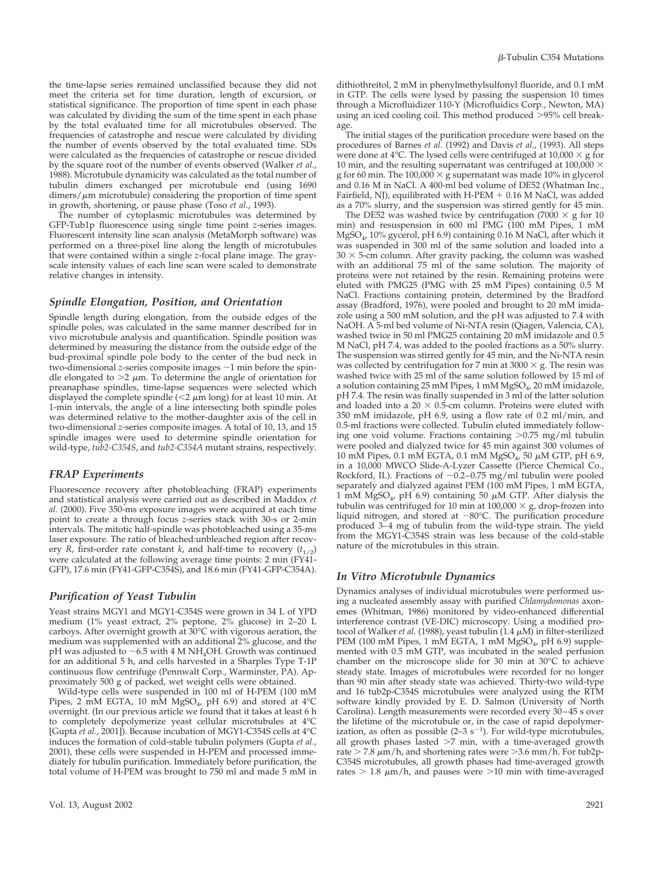the time-lapse series remained unclassified because they did not meet the criteria set for time duration, length of excursion, or statistical significance. The proportion of time spent in each phase was calculated by dividing the sum of the time spent in each phase by the total evaluated time for all microtubules observed. The frequencies of catastrophe and rescue were calculated by dividing the number of events observed by the total evaluated time. SDs were calculated as the frequencies of catastrophe or rescue divided by the square root of the number of events observed (Walker *et al.*, 1988). Microtubule dynamicity was calculated as the total number of tubulin dimers exchanged per microtubule end (using 1690  $dimers/\mu m$  microtubule) considering the proportion of time spent in growth, shortening, or pause phase (Toso *et al.*, 1993).

The number of cytoplasmic microtubules was determined by GFP-Tub1p fluorescence using single time point *z*-series images. Fluorescent intensity line scan analysis (MetaMorph software) was performed on a three-pixel line along the length of microtubules that were contained within a single *z*-focal plane image. The grayscale intensity values of each line scan were scaled to demonstrate relative changes in intensity.

## *Spindle Elongation, Position, and Orientation*

Spindle length during elongation, from the outside edges of the spindle poles, was calculated in the same manner described for in vivo microtubule analysis and quantification. Spindle position was determined by measuring the distance from the outside edge of the bud-proximal spindle pole body to the center of the bud neck in two-dimensional *z*-series composite images  $\sim$  1 min before the spindle elongated to  $>2$   $\mu$ m. To determine the angle of orientation for preanaphase spindles, time-lapse sequences were selected which displayed the complete spindle ( $\lt 2 \mu m$  long) for at least 10 min. At 1-min intervals, the angle of a line intersecting both spindle poles was determined relative to the mother-daughter axis of the cell in two-dimensional *z*-series composite images. A total of 10, 13, and 15 spindle images were used to determine spindle orientation for wild-type, *tub2-C354S*, and *tub2-C354A* mutant strains, respectively.

## *FRAP Experiments*

Fluorescence recovery after photobleaching (FRAP) experiments and statistical analysis were carried out as described in Maddox *et al.* (2000). Five 350-ms exposure images were acquired at each time point to create a through focus *z*-series stack with 30-s or 2-min intervals. The mitotic half-spindle was photobleached using a 35-ms laser exposure. The ratio of bleached:unbleached region after recovery *R*, first-order rate constant *k*, and half-time to recovery  $(t_{1/2})$ were calculated at the following average time points: 2 min (FY41- GFP), 17.6 min (FY41-GFP-C354S), and 18.6 min (FY41-GFP-C354A).

# *Purification of Yeast Tubulin*

Yeast strains MGY1 and MGY1-C354S were grown in 34 L of YPD medium (1% yeast extract, 2% peptone, 2% glucose) in 2–20 L carboys. After overnight growth at 30°C with vigorous aeration, the medium was supplemented with an additional 2% glucose, and the pH was adjusted to  $\sim$  6.5 with 4 M NH<sub>4</sub>OH. Growth was continued for an additional 5 h, and cells harvested in a Sharples Type T-1P continuous flow centrifuge (Pennwalt Corp., Warminster, PA). Approximately 500 g of packed, wet weight cells were obtained.

Wild-type cells were suspended in 100 ml of H-PEM (100 mM Pipes, 2 mM EGTA, 10 mM  $MgSO_4$ , pH 6.9) and stored at 4°C overnight. (In our previous article we found that it takes at least 6 h to completely depolymerize yeast cellular microtubules at 4°C [Gupta *et al.*, 2001]). Because incubation of MGY1-C354S cells at 4°C induces the formation of cold-stable tubulin polymers (Gupta *et al.*, 2001), these cells were suspended in H-PEM and processed immediately for tubulin purification. Immediately before purification, the total volume of H-PEM was brought to 750 ml and made 5 mM in dithiothreitol, 2 mM in phenylmethylsulfonyl fluoride, and 0.1 mM in GTP. The cells were lysed by passing the suspension 10 times through a Microfluidizer 110-Y (Microfluidics Corp., Newton, MA) using an iced cooling coil. This method produced >95% cell breakage.

The initial stages of the purification procedure were based on the procedures of Barnes *et al.* (1992) and Davis *et al.*, (1993). All steps were done at 4°C. The lysed cells were centrifuged at  $10,000 \times g$  for 10 min, and the resulting supernatant was centrifuged at 100,000  $\times$ g for 60 min. The  $100,000 \times g$  supernatant was made 10% in glycerol and 0.16 M in NaCl. A 400-ml bed volume of DE52 (Whatman Inc., Fairfield, NJ), equilibrated with H-PEM  $+$  0.16 M NaCl, was added as a 70% slurry, and the suspension was stirred gently for 45 min.

The DE52 was washed twice by centrifugation (7000  $\times$  g for 10 min) and resuspension in 600 ml PMG (100 mM Pipes, 1 mM MgSO4, 10% gycerol, pH 6.9) containing 0.16 M NaCl, after which it was suspended in 300 ml of the same solution and loaded into a  $30 \times$  5-cm column. After gravity packing, the column was washed with an additional 75 ml of the same solution. The majority of proteins were not retained by the resin. Remaining proteins were eluted with PMG25 (PMG with 25 mM Pipes) containing 0.5 M NaCl. Fractions containing protein, determined by the Bradford assay (Bradford, 1976), were pooled and brought to 20 mM imidazole using a 500 mM solution, and the pH was adjusted to 7.4 with NaOH. A 5-ml bed volume of Ni-NTA resin (Qiagen, Valencia, CA), washed twice in 50 ml PMG25 containing 20 mM imidazole and 0.5 M NaCl, pH 7.4, was added to the pooled fractions as a 50% slurry. The suspension was stirred gently for 45 min, and the Ni-NTA resin was collected by centrifugation for 7 min at 3000  $\times$  g. The resin was washed twice with 25 ml of the same solution followed by 15 ml of a solution containing 25 mM Pipes, 1 mM MgSO<sub>4</sub>, 20 mM imidazole, pH 7.4. The resin was finally suspended in 3 ml of the latter solution and loaded into a  $20 \times 0.5$ -cm column. Proteins were eluted with 350 mM imidazole, pH 6.9, using a flow rate of 0.2 ml/min, and 0.5-ml fractions were collected. Tubulin eluted immediately following one void volume. Fractions containing -0.75 mg/ml tubulin were pooled and dialyzed twice for 45 min against 300 volumes of 10 mM Pipes, 0.1 mM EGTA, 0.1 mM MgSO<sub>4</sub>, 50 μM GTP, pH 6.9, in a 10,000 MWCO Slide-A-Lyzer Cassette (Pierce Chemical Co., Rockford, IL). Fractions of  $\sim 0.2-0.75$  mg/ml tubulin were pooled separately and dialyzed against PEM (100 mM Pipes, 1 mM EGTA, 1 mM MgSO<sub>4</sub>, pH 6.9) containing 50  $\mu$ M GTP. After dialysis the tubulin was centrifuged for 10 min at  $100,000 \times g$ , drop-frozen into liquid nitrogen, and stored at  $-80^{\circ}$ C. The purification procedure produced 3–4 mg of tubulin from the wild-type strain. The yield from the MGY1-C354S strain was less because of the cold-stable nature of the microtubules in this strain.

# *In Vitro Microtubule Dynamics*

Dynamics analyses of individual microtubules were performed using a nucleated assembly assay with purified *Chlamydomonas* axonemes (Whitman, 1986) monitored by video-enhanced differential interference contrast (VE-DIC) microscopy. Using a modified protocol of Walker *et al.* (1988), yeast tubulin  $(1.4 \mu M)$  in filter-sterilized PEM (100 mM Pipes, 1 mM EGTA, 1 mM  $MgSO<sub>4</sub>$ , pH 6.9) supplemented with 0.5 mM GTP, was incubated in the sealed perfusion chamber on the microscope slide for 30 min at 30°C to achieve steady state. Images of microtubules were recorded for no longer than 90 min after steady state was achieved. Thirty-two wild-type and 16 tub2p-C354S microtubules were analyzed using the RTM software kindly provided by E. D. Salmon (University of North Carolina). Length measurements were recorded every 30–45 s over the lifetime of the microtubule or, in the case of rapid depolymerization, as often as possible  $(2-3 s<sup>-1</sup>)$ . For wild-type microtubules, all growth phases lasted >7 min, with a time-averaged growth rate  $>$  7.8  $\mu$ m/h, and shortening rates were  $>$ 3.6 mm/h. For tub2p-C354S microtubules, all growth phases had time-averaged growth rates  $> 1.8 \mu m/h$ , and pauses were  $>$ 10 min with time-averaged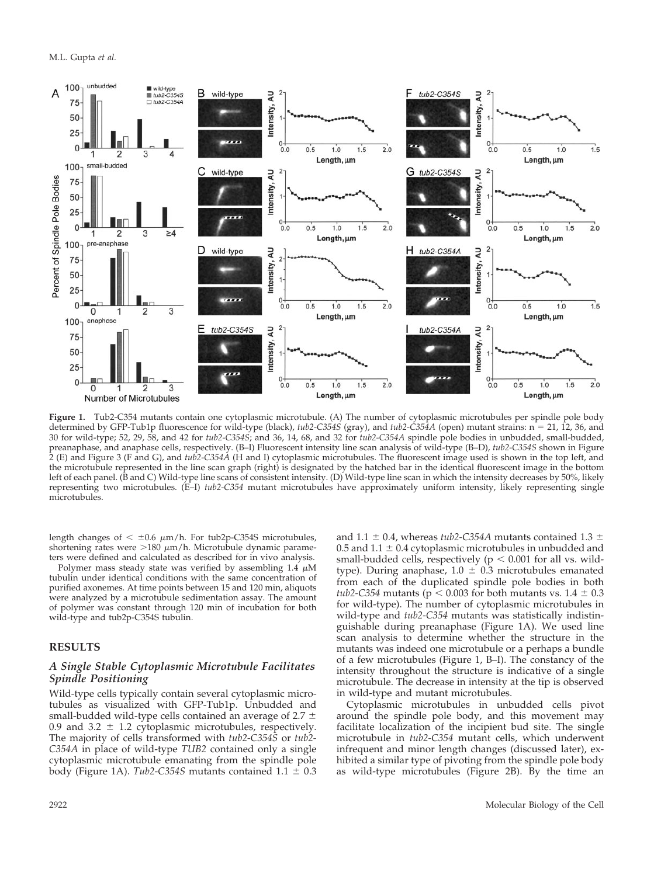

**Figure 1.** Tub2-C354 mutants contain one cytoplasmic microtubule. (A) The number of cytoplasmic microtubules per spindle pole body determined by GFP-Tub1p fluorescence for wild-type (black),  $tub2$ -C354S (gray), and  $tub2$ -C354A (open) mutant strains:  $n = 21$ , 12, 36, and 30 for wild-type; 52, 29, 58, and 42 for *tub2-C354S*; and 36, 14, 68, and 32 for *tub2-C354A* spindle pole bodies in unbudded, small-budded, preanaphase, and anaphase cells, respectively. (B–I) Fluorescent intensity line scan analysis of wild-type (B–D), *tub2-C354S* shown in Figure 2 (E) and Figure 3 (F and G), and *tub2-C354A* (H and I) cytoplasmic microtubules. The fluorescent image used is shown in the top left, and the microtubule represented in the line scan graph (right) is designated by the hatched bar in the identical fluorescent image in the bottom left of each panel. (B and C) Wild-type line scans of consistent intensity. (D) Wild-type line scan in which the intensity decreases by 50%, likely representing two microtubules. (E–I) *tub2-C354* mutant microtubules have approximately uniform intensity, likely representing single microtubules.

length changes of  $< \pm 0.6$   $\mu$ m/h. For tub2p-C354S microtubules, shortening rates were  $>180 \mu m/h$ . Microtubule dynamic parameters were defined and calculated as described for in vivo analysis.

Polymer mass steady state was verified by assembling  $1.4 \mu M$ tubulin under identical conditions with the same concentration of purified axonemes. At time points between 15 and 120 min, aliquots were analyzed by a microtubule sedimentation assay. The amount of polymer was constant through 120 min of incubation for both wild-type and tub2p-C354S tubulin.

#### **RESULTS**

#### *A Single Stable Cytoplasmic Microtubule Facilitates Spindle Positioning*

Wild-type cells typically contain several cytoplasmic microtubules as visualized with GFP-Tub1p. Unbudded and small-budded wild-type cells contained an average of 2.7  $\pm$ 0.9 and 3.2  $\pm$  1.2 cytoplasmic microtubules, respectively. The majority of cells transformed with *tub2-C354S* or *tub2- C354A* in place of wild-type *TUB2* contained only a single cytoplasmic microtubule emanating from the spindle pole body (Figure 1A). *Tub2-C354S* mutants contained  $1.1 \pm 0.3$  and 1.1  $\pm$  0.4, whereas *tub2-C354A* mutants contained 1.3  $\pm$ 0.5 and 1.1  $\pm$  0.4 cytoplasmic microtubules in unbudded and small-budded cells, respectively ( $p < 0.001$  for all vs. wildtype). During anaphase,  $1.0 \pm 0.3$  microtubules emanated from each of the duplicated spindle pole bodies in both *tub2-C354* mutants ( $p < 0.003$  for both mutants vs.  $1.4 \pm 0.3$ for wild-type). The number of cytoplasmic microtubules in wild-type and *tub2-C354* mutants was statistically indistinguishable during preanaphase (Figure 1A). We used line scan analysis to determine whether the structure in the mutants was indeed one microtubule or a perhaps a bundle of a few microtubules (Figure 1, B–I). The constancy of the intensity throughout the structure is indicative of a single microtubule. The decrease in intensity at the tip is observed in wild-type and mutant microtubules.

Cytoplasmic microtubules in unbudded cells pivot around the spindle pole body, and this movement may facilitate localization of the incipient bud site. The single microtubule in *tub2-C354* mutant cells, which underwent infrequent and minor length changes (discussed later), exhibited a similar type of pivoting from the spindle pole body as wild-type microtubules (Figure 2B). By the time an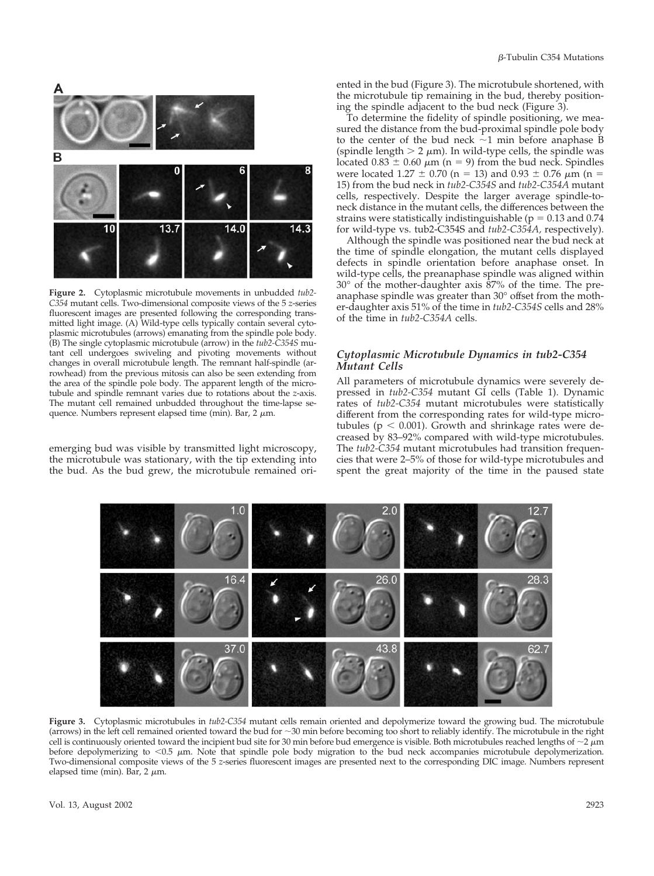

**Figure 2.** Cytoplasmic microtubule movements in unbudded *tub2- C354* mutant cells. Two-dimensional composite views of the 5 *z*-series fluorescent images are presented following the corresponding transmitted light image. (A) Wild-type cells typically contain several cytoplasmic microtubules (arrows) emanating from the spindle pole body. (B) The single cytoplasmic microtubule (arrow) in the *tub2-C354S* mutant cell undergoes swiveling and pivoting movements without changes in overall microtubule length. The remnant half-spindle (arrowhead) from the previous mitosis can also be seen extending from the area of the spindle pole body. The apparent length of the microtubule and spindle remnant varies due to rotations about the *z*-axis. The mutant cell remained unbudded throughout the time-lapse sequence. Numbers represent elapsed time (min). Bar,  $2 \mu m$ .

emerging bud was visible by transmitted light microscopy, the microtubule was stationary, with the tip extending into the bud. As the bud grew, the microtubule remained oriented in the bud (Figure 3). The microtubule shortened, with the microtubule tip remaining in the bud, thereby positioning the spindle adjacent to the bud neck (Figure 3).

To determine the fidelity of spindle positioning, we measured the distance from the bud-proximal spindle pole body to the center of the bud neck  $\sim$ 1 min before anaphase B (spindle length  $> 2 \mu$ m). In wild-type cells, the spindle was located  $0.83 \pm 0.60 \mu m$  (n = 9) from the bud neck. Spindles were located 1.27  $\pm$  0.70 (n = 13) and 0.93  $\pm$  0.76  $\mu$ m (n = 15) from the bud neck in *tub2-C354S* and *tub2-C354A* mutant cells, respectively. Despite the larger average spindle-toneck distance in the mutant cells, the differences between the strains were statistically indistinguishable ( $p = 0.13$  and 0.74 for wild-type vs. tub2-C354S and *tub2-C354A,* respectively).

Although the spindle was positioned near the bud neck at the time of spindle elongation, the mutant cells displayed defects in spindle orientation before anaphase onset. In wild-type cells, the preanaphase spindle was aligned within 30° of the mother-daughter axis 87% of the time. The preanaphase spindle was greater than 30° offset from the mother-daughter axis 51% of the time in *tub2-C354S* cells and 28% of the time in *tub2-C354A* cells.

#### *Cytoplasmic Microtubule Dynamics in tub2-C354 Mutant Cells*

All parameters of microtubule dynamics were severely depressed in *tub2-C354* mutant GI cells (Table 1). Dynamic rates of *tub2-C354* mutant microtubules were statistically different from the corresponding rates for wild-type microtubules ( $p < 0.001$ ). Growth and shrinkage rates were decreased by 83–92% compared with wild-type microtubules. The *tub2-C354* mutant microtubules had transition frequencies that were 2–5% of those for wild-type microtubules and spent the great majority of the time in the paused state



**Figure 3.** Cytoplasmic microtubules in *tub2-C354* mutant cells remain oriented and depolymerize toward the growing bud. The microtubule (arrows) in the left cell remained oriented toward the bud for  $\sim$ 30 min before becoming too short to reliably identify. The microtubule in the right cell is continuously oriented toward the incipient bud site for 30 min before bud emergence is visible. Both microtubules reached lengths of  $\sim$ 2  $\mu$ m before depolymerizing to  $< 0.5$   $\mu$ m. Note that spindle pole body migration to the bud neck accompanies microtubule depolymerization. Two-dimensional composite views of the 5 *z*-series fluorescent images are presented next to the corresponding DIC image. Numbers represent elapsed time (min). Bar,  $2 \mu m$ .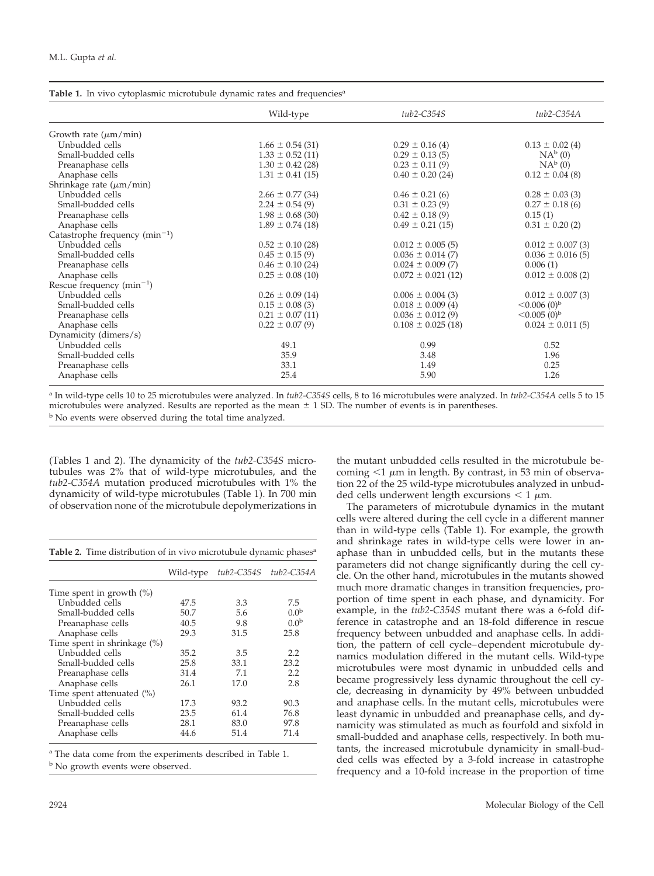| Table 1. In vivo cytoplasmic microtubule dynamic rates and frequencies <sup>a</sup> |                      |                        |                               |  |
|-------------------------------------------------------------------------------------|----------------------|------------------------|-------------------------------|--|
|                                                                                     | Wild-type            | tub2-C354S             | $tub2-C354A$                  |  |
| Growth rate $(\mu m/min)$                                                           |                      |                        |                               |  |
| Unbudded cells                                                                      | $1.66 \pm 0.54(31)$  | $0.29 \pm 0.16$ (4)    | $0.13 \pm 0.02$ (4)           |  |
| Small-budded cells                                                                  | $1.33 \pm 0.52$ (11) | $0.29 \pm 0.13$ (5)    | $NA^b(0)$                     |  |
| Preanaphase cells                                                                   | $1.30 \pm 0.42$ (28) | $0.23 \pm 0.11(9)$     | $NA^b(0)$                     |  |
| Anaphase cells                                                                      | $1.31 \pm 0.41$ (15) | $0.40 \pm 0.20$ (24)   | $0.12 \pm 0.04$ (8)           |  |
| Shrinkage rate $(\mu m/min)$                                                        |                      |                        |                               |  |
| Unbudded cells                                                                      | $2.66 \pm 0.77$ (34) | $0.46 \pm 0.21$ (6)    | $0.28 \pm 0.03$ (3)           |  |
| Small-budded cells                                                                  | $2.24 \pm 0.54(9)$   | $0.31 \pm 0.23$ (9)    | $0.27 \pm 0.18$ (6)           |  |
| Preanaphase cells                                                                   | $1.98 \pm 0.68$ (30) | $0.42 \pm 0.18$ (9)    | 0.15(1)                       |  |
| Anaphase cells                                                                      | $1.89 \pm 0.74$ (18) | $0.49 \pm 0.21$ (15)   | $0.31 \pm 0.20$ (2)           |  |
| Catastrophe frequency $(min^{-1})$                                                  |                      |                        |                               |  |
| Unbudded cells                                                                      | $0.52 \pm 0.10$ (28) | $0.012 \pm 0.005$ (5)  | $0.012 \pm 0.007(3)$          |  |
| Small-budded cells                                                                  | $0.45 \pm 0.15(9)$   | $0.036 \pm 0.014$ (7)  | $0.036 \pm 0.016$ (5)         |  |
| Preanaphase cells                                                                   | $0.46 \pm 0.10$ (24) | $0.024 \pm 0.009$ (7)  | 0.006(1)                      |  |
| Anaphase cells                                                                      | $0.25 \pm 0.08$ (10) | $0.072 \pm 0.021$ (12) | $0.012 \pm 0.008$ (2)         |  |
| Rescue frequency $(min^{-1})$                                                       |                      |                        |                               |  |
| Unbudded cells                                                                      | $0.26 \pm 0.09$ (14) | $0.006 \pm 0.004(3)$   | $0.012 \pm 0.007$ (3)         |  |
| Small-budded cells                                                                  | $0.15 \pm 0.08$ (3)  | $0.018 \pm 0.009$ (4)  | < 0.006(0) <sup>b</sup>       |  |
| Preanaphase cells                                                                   | $0.21 \pm 0.07$ (11) | $0.036 \pm 0.012(9)$   | $\leq 0.005$ (0) <sup>b</sup> |  |
| Anaphase cells                                                                      | $0.22 \pm 0.07(9)$   | $0.108 \pm 0.025$ (18) | $0.024 \pm 0.011(5)$          |  |
| Dynamicity (dimers/s)                                                               |                      |                        |                               |  |
| Unbudded cells                                                                      | 49.1                 | 0.99                   | 0.52                          |  |
| Small-budded cells                                                                  | 35.9                 | 3.48                   | 1.96                          |  |
| Preanaphase cells                                                                   | 33.1                 | 1.49                   | 0.25                          |  |
| Anaphase cells                                                                      | 25.4                 | 5.90                   | 1.26                          |  |

<sup>a</sup> In wild-type cells 10 to 25 microtubules were analyzed. In *tub2-C354S* cells, 8 to 16 microtubules were analyzed. In *tub2-C354A* cells 5 to 15 microtubules were analyzed. Results are reported as the mean  $\pm$  1 SD. The number of events is in parentheses. <sup>b</sup> No events were observed during the total time analyzed.

(Tables 1 and 2). The dynamicity of the *tub2-C354S* microtubules was 2% that of wild-type microtubules, and the *tub2-C354A* mutation produced microtubules with 1% the dynamicity of wild-type microtubules (Table 1). In 700 min of observation none of the microtubule depolymerizations in

|  |  | Table 2. Time distribution of in vivo microtubule dynamic phases <sup>a</sup> |  |
|--|--|-------------------------------------------------------------------------------|--|
|  |  |                                                                               |  |

|                               | Wild-type | tub2-C354S | tub2-C354A       |
|-------------------------------|-----------|------------|------------------|
| Time spent in growth $(\%)$   |           |            |                  |
| Unbudded cells                | 47.5      | 3.3        | 7.5              |
| Small-budded cells            | 50.7      | 5.6        | 0.0 <sup>b</sup> |
| Preanaphase cells             | 40.5      | 9.8        | 0.0 <sup>b</sup> |
| Anaphase cells                | 29.3      | 31.5       | 25.8             |
| Time spent in shrinkage (%)   |           |            |                  |
| Unbudded cells                | 35.2      | 3.5        | 2.2              |
| Small-budded cells            | 25.8      | 33.1       | 23.2             |
| Preanaphase cells             | 31.4      | 7.1        | 2.2              |
| Anaphase cells                | 26.1      | 17.0       | 2.8              |
| Time spent attenuated $(\% )$ |           |            |                  |
| Unbudded cells                | 17.3      | 93.2       | 90.3             |
| Small-budded cells            | 23.5      | 61.4       | 76.8             |
| Preanaphase cells             | 28.1      | 83.0       | 97.8             |
| Anaphase cells                | 44.6      | 51.4       | 71.4             |

<sup>a</sup> The data come from the experiments described in Table 1.

<sup>b</sup> No growth events were observed.

the mutant unbudded cells resulted in the microtubule becoming  $1 \mu m$  in length. By contrast, in 53 min of observation 22 of the 25 wild-type microtubules analyzed in unbudded cells underwent length excursions  $\lt 1 \mu m$ .

The parameters of microtubule dynamics in the mutant cells were altered during the cell cycle in a different manner than in wild-type cells (Table 1). For example, the growth and shrinkage rates in wild-type cells were lower in anaphase than in unbudded cells, but in the mutants these parameters did not change significantly during the cell cycle. On the other hand, microtubules in the mutants showed much more dramatic changes in transition frequencies, proportion of time spent in each phase, and dynamicity. For example, in the *tub2-C354S* mutant there was a 6-fold difference in catastrophe and an 18-fold difference in rescue frequency between unbudded and anaphase cells. In addition, the pattern of cell cycle–dependent microtubule dynamics modulation differed in the mutant cells. Wild-type microtubules were most dynamic in unbudded cells and became progressively less dynamic throughout the cell cycle, decreasing in dynamicity by 49% between unbudded and anaphase cells. In the mutant cells, microtubules were least dynamic in unbudded and preanaphase cells, and dynamicity was stimulated as much as fourfold and sixfold in small-budded and anaphase cells, respectively. In both mutants, the increased microtubule dynamicity in small-budded cells was effected by a 3-fold increase in catastrophe frequency and a 10-fold increase in the proportion of time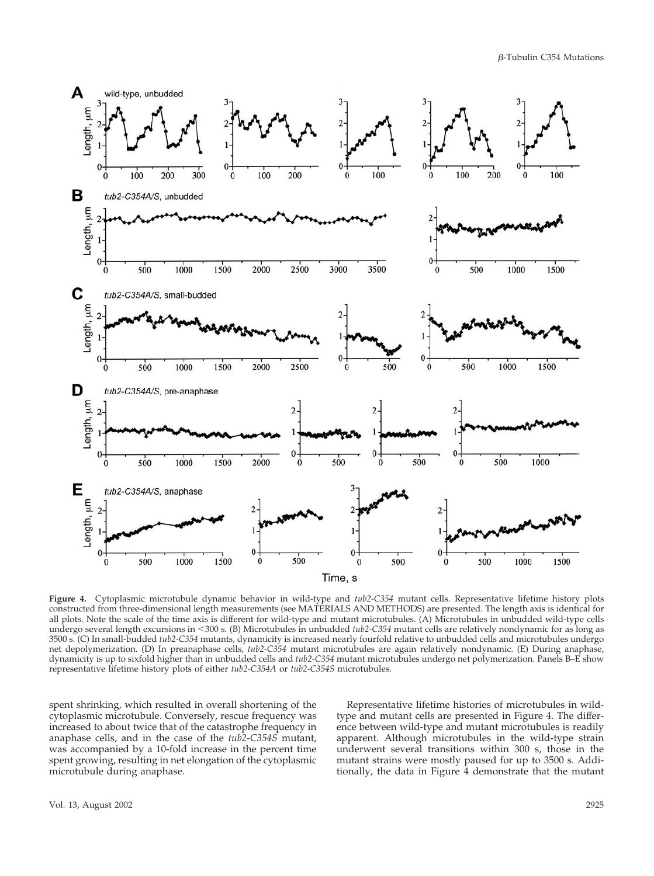$\beta$ -Tubulin C354 Mutations



**Figure 4.** Cytoplasmic microtubule dynamic behavior in wild-type and *tub2-C354* mutant cells. Representative lifetime history plots constructed from three-dimensional length measurements (see MATERIALS AND METHODS) are presented. The length axis is identical for all plots. Note the scale of the time axis is different for wild-type and mutant microtubules. (A) Microtubules in unbudded wild-type cells undergo several length excursions in 300 s. (B) Microtubules in unbudded *tub2-C354* mutant cells are relatively nondynamic for as long as 3500 s. (C) In small-budded *tub2-C354* mutants, dynamicity is increased nearly fourfold relative to unbudded cells and microtubules undergo net depolymerization. (D) In preanaphase cells, *tub2-C354* mutant microtubules are again relatively nondynamic. (E) During anaphase, dynamicity is up to sixfold higher than in unbudded cells and *tub2-C354* mutant microtubules undergo net polymerization. Panels B–E show representative lifetime history plots of either *tub2-C354A* or *tub2-C354S* microtubules.

spent shrinking, which resulted in overall shortening of the cytoplasmic microtubule. Conversely, rescue frequency was increased to about twice that of the catastrophe frequency in anaphase cells, and in the case of the *tub2-C354S* mutant, was accompanied by a 10-fold increase in the percent time spent growing, resulting in net elongation of the cytoplasmic microtubule during anaphase.

Representative lifetime histories of microtubules in wildtype and mutant cells are presented in Figure 4. The difference between wild-type and mutant microtubules is readily apparent. Although microtubules in the wild-type strain underwent several transitions within 300 s, those in the mutant strains were mostly paused for up to 3500 s. Additionally, the data in Figure 4 demonstrate that the mutant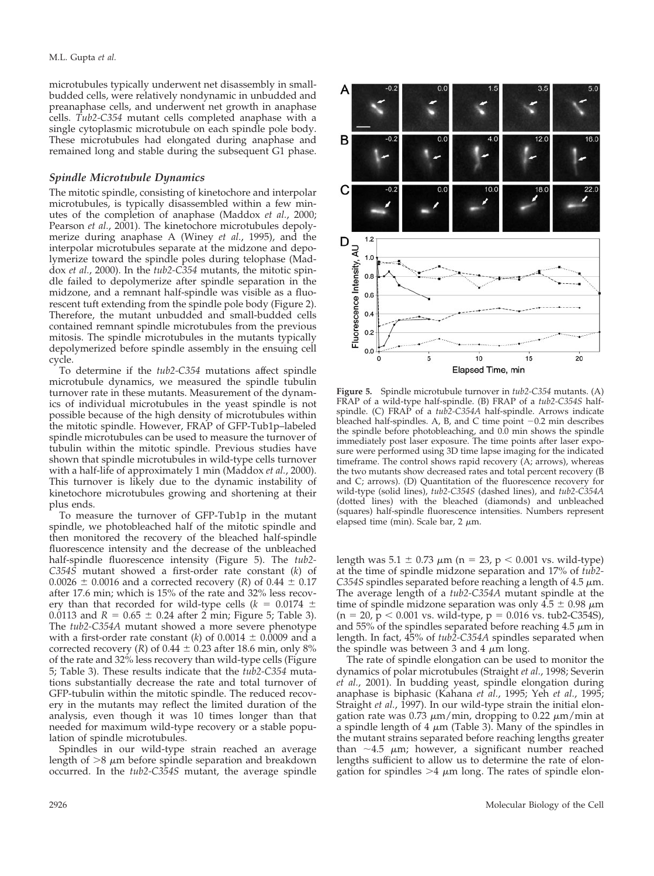microtubules typically underwent net disassembly in smallbudded cells, were relatively nondynamic in unbudded and preanaphase cells, and underwent net growth in anaphase cells. *Tub2-C354* mutant cells completed anaphase with a single cytoplasmic microtubule on each spindle pole body. These microtubules had elongated during anaphase and remained long and stable during the subsequent G1 phase.

#### *Spindle Microtubule Dynamics*

The mitotic spindle, consisting of kinetochore and interpolar microtubules, is typically disassembled within a few minutes of the completion of anaphase (Maddox *et al.*, 2000; Pearson *et al.*, 2001). The kinetochore microtubules depolymerize during anaphase A (Winey *et al.*, 1995), and the interpolar microtubules separate at the midzone and depolymerize toward the spindle poles during telophase (Maddox *et al.*, 2000). In the *tub2-C354* mutants, the mitotic spindle failed to depolymerize after spindle separation in the midzone, and a remnant half-spindle was visible as a fluorescent tuft extending from the spindle pole body (Figure 2). Therefore, the mutant unbudded and small-budded cells contained remnant spindle microtubules from the previous mitosis. The spindle microtubules in the mutants typically depolymerized before spindle assembly in the ensuing cell cycle.

To determine if the *tub2-C354* mutations affect spindle microtubule dynamics, we measured the spindle tubulin turnover rate in these mutants. Measurement of the dynamics of individual microtubules in the yeast spindle is not possible because of the high density of microtubules within the mitotic spindle. However, FRAP of GFP-Tub1p–labeled spindle microtubules can be used to measure the turnover of tubulin within the mitotic spindle. Previous studies have shown that spindle microtubules in wild-type cells turnover with a half-life of approximately 1 min (Maddox *et al.*, 2000). This turnover is likely due to the dynamic instability of kinetochore microtubules growing and shortening at their plus ends.

To measure the turnover of GFP-Tub1p in the mutant spindle, we photobleached half of the mitotic spindle and then monitored the recovery of the bleached half-spindle fluorescence intensity and the decrease of the unbleached half-spindle fluorescence intensity (Figure 5). The *tub2- C354S* mutant showed a first-order rate constant (*k*) of 0.0026  $\pm$  0.0016 and a corrected recovery (*R*) of 0.44  $\pm$  0.17 after 17.6 min; which is 15% of the rate and 32% less recovery than that recorded for wild-type cells  $(k = 0.0174 \pm 1)$ 0.0113 and  $R = 0.65 \pm 0.24$  after 2 min; Figure 5; Table 3). The *tub2-C354A* mutant showed a more severe phenotype with a first-order rate constant (*k*) of  $0.0014 \pm 0.0009$  and a corrected recovery (*R*) of 0.44  $\pm$  0.23 after 18.6 min, only 8% of the rate and 32% less recovery than wild-type cells (Figure 5; Table 3). These results indicate that the *tub2-C354* mutations substantially decrease the rate and total turnover of GFP-tubulin within the mitotic spindle. The reduced recovery in the mutants may reflect the limited duration of the analysis, even though it was 10 times longer than that needed for maximum wild-type recovery or a stable population of spindle microtubules.

Spindles in our wild-type strain reached an average length of  $>8$   $\mu$ m before spindle separation and breakdown occurred. In the *tub2-C354S* mutant, the average spindle



**Figure 5.** Spindle microtubule turnover in *tub2-C354* mutants. (A) FRAP of a wild-type half-spindle. (B) FRAP of a *tub2-C354S* halfspindle. (C) FRAP of a *tub2-C354A* half-spindle. Arrows indicate bleached half-spindles. A, B, and C time point  $-0.2$  min describes the spindle before photobleaching, and 0.0 min shows the spindle immediately post laser exposure. The time points after laser exposure were performed using 3D time lapse imaging for the indicated timeframe. The control shows rapid recovery (A; arrows), whereas the two mutants show decreased rates and total percent recovery (B and C; arrows). (D) Quantitation of the fluorescence recovery for wild-type (solid lines), *tub2-C354S* (dashed lines), and *tub2-C354A* (dotted lines) with the bleached (diamonds) and unbleached (squares) half-spindle fluorescence intensities. Numbers represent elapsed time (min). Scale bar,  $2 \mu m$ .

length was  $5.1 \pm 0.73 \mu m$  (n = 23, p < 0.001 vs. wild-type) at the time of spindle midzone separation and 17% of *tub2- C354S* spindles separated before reaching a length of  $4.5 \mu m$ . The average length of a *tub2-C354A* mutant spindle at the time of spindle midzone separation was only  $4.5 \pm 0.98 \mu m$  $(n = 20, p < 0.001$  vs. wild-type,  $p = 0.016$  vs. tub2-C354S), and 55% of the spindles separated before reaching 4.5  $\mu$ m in length. In fact, 45% of *tub2-C354A* spindles separated when the spindle was between 3 and 4  $\mu$ m long.

The rate of spindle elongation can be used to monitor the dynamics of polar microtubules (Straight *et al.*, 1998; Severin *et al.*, 2001). In budding yeast, spindle elongation during anaphase is biphasic (Kahana *et al.*, 1995; Yeh *et al.*, 1995; Straight *et al.*, 1997). In our wild-type strain the initial elongation rate was 0.73  $\mu$ m/min, dropping to 0.22  $\mu$ m/min at a spindle length of 4  $\mu$ m (Table 3). Many of the spindles in the mutant strains separated before reaching lengths greater than  $\sim$ 4.5  $\mu$ m; however, a significant number reached lengths sufficient to allow us to determine the rate of elongation for spindles  $>4$   $\mu$ m long. The rates of spindle elon-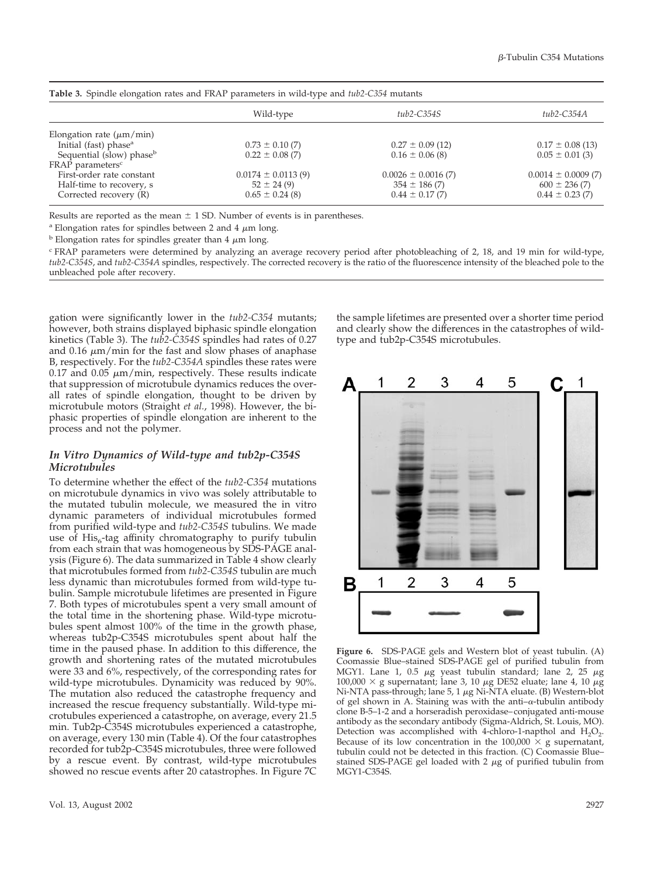| <b>Table 3.</b> Spindle elongation rates and FRAP parameters in wild-type and <i>tub2-C354</i> mutants |                        |                         |                         |
|--------------------------------------------------------------------------------------------------------|------------------------|-------------------------|-------------------------|
|                                                                                                        | Wild-type              | tub2-C354S              | tub2-C354A              |
| Elongation rate $(\mu m/min)$                                                                          |                        |                         |                         |
| Initial (fast) phase <sup>a</sup>                                                                      | $0.73 \pm 0.10(7)$     | $0.27 \pm 0.09$ (12)    | $0.17 \pm 0.08$ (13)    |
| Sequential (slow) phase <sup>b</sup>                                                                   | $0.22 \pm 0.08$ (7)    | $0.16 \pm 0.06$ (8)     | $0.05 \pm 0.01$ (3)     |
| FRAP parameters <sup>c</sup>                                                                           |                        |                         |                         |
| First-order rate constant                                                                              | $0.0174 \pm 0.0113(9)$ | $0.0026 \pm 0.0016$ (7) | $0.0014 \pm 0.0009$ (7) |
| Half-time to recovery, s                                                                               | $52 \pm 24(9)$         | $354 \pm 186$ (7)       | $600 \pm 236(7)$        |
| Corrected recovery (R)                                                                                 | $0.65 \pm 0.24$ (8)    | $0.44 \pm 0.17(7)$      | $0.44 \pm 0.23$ (7)     |

Results are reported as the mean  $\pm$  1 SD. Number of events is in parentheses.

<sup>a</sup> Elongation rates for spindles between 2 and 4  $\mu$ m long.

 $\overline{b}$  Elongation rates for spindles greater than 4  $\mu$ m long.

<sup>c</sup> FRAP parameters were determined by analyzing an average recovery period after photobleaching of 2, 18, and 19 min for wild-type, *tub2-C354S*, and *tub2-C354A* spindles, respectively. The corrected recovery is the ratio of the fluorescence intensity of the bleached pole to the unbleached pole after recovery.

gation were significantly lower in the *tub2-C354* mutants; however, both strains displayed biphasic spindle elongation kinetics (Table 3). The *tub2-C354S* spindles had rates of 0.27 and 0.16  $\mu$ m/min for the fast and slow phases of anaphase B, respectively. For the *tub2-C354A* spindles these rates were 0.17 and 0.05  $\mu$ m/min, respectively. These results indicate that suppression of microtubule dynamics reduces the overall rates of spindle elongation, thought to be driven by microtubule motors (Straight *et al.*, 1998). However, the biphasic properties of spindle elongation are inherent to the process and not the polymer.

#### *In Vitro Dynamics of Wild-type and tub2p-C354S Microtubules*

To determine whether the effect of the *tub2-C354* mutations on microtubule dynamics in vivo was solely attributable to the mutated tubulin molecule, we measured the in vitro dynamic parameters of individual microtubules formed from purified wild-type and *tub2-C354S* tubulins. We made use of  $His<sub>6</sub>$ -tag affinity chromatography to purify tubulin from each strain that was homogeneous by SDS-PAGE analysis (Figure 6). The data summarized in Table 4 show clearly that microtubules formed from *tub2-C354S* tubulin are much less dynamic than microtubules formed from wild-type tubulin. Sample microtubule lifetimes are presented in Figure 7. Both types of microtubules spent a very small amount of the total time in the shortening phase. Wild-type microtubules spent almost 100% of the time in the growth phase, whereas tub2p-C354S microtubules spent about half the time in the paused phase. In addition to this difference, the growth and shortening rates of the mutated microtubules were 33 and 6%, respectively, of the corresponding rates for wild-type microtubules. Dynamicity was reduced by 90%. The mutation also reduced the catastrophe frequency and increased the rescue frequency substantially. Wild-type microtubules experienced a catastrophe, on average, every 21.5 min. Tub2p-C354S microtubules experienced a catastrophe, on average, every 130 min (Table 4). Of the four catastrophes recorded for tub2p-C354S microtubules, three were followed by a rescue event. By contrast, wild-type microtubules showed no rescue events after 20 catastrophes. In Figure 7C

the sample lifetimes are presented over a shorter time period and clearly show the differences in the catastrophes of wildtype and tub2p-C354S microtubules.



**Figure 6.** SDS-PAGE gels and Western blot of yeast tubulin. (A) Coomassie Blue–stained SDS-PAGE gel of purified tubulin from MGY1. Lane 1, 0.5  $\mu$ g yeast tubulin standard; lane 2, 25  $\mu$ g 100,000  $\times$  g supernatant; lane 3, 10  $\mu$ g DE52 eluate; lane 4, 10  $\mu$ g Ni-NTA pass-through; lane  $5$ ,  $1 \mu$ g Ni-NTA eluate. (B) Western-blot of gel shown in A. Staining was with the anti– $\alpha$ -tubulin antibody clone B-5–1-2 and a horseradish peroxidase–conjugated anti-mouse antibody as the secondary antibody (Sigma-Aldrich, St. Louis, MO). Detection was accomplished with 4-chloro-1-napthol and  $H_2O_2$ . Because of its low concentration in the 100,000  $\times$  g supernatant, tubulin could not be detected in this fraction. (C) Coomassie Blue– stained SDS-PAGE gel loaded with  $2 \mu$ g of purified tubulin from MGY1-C354S.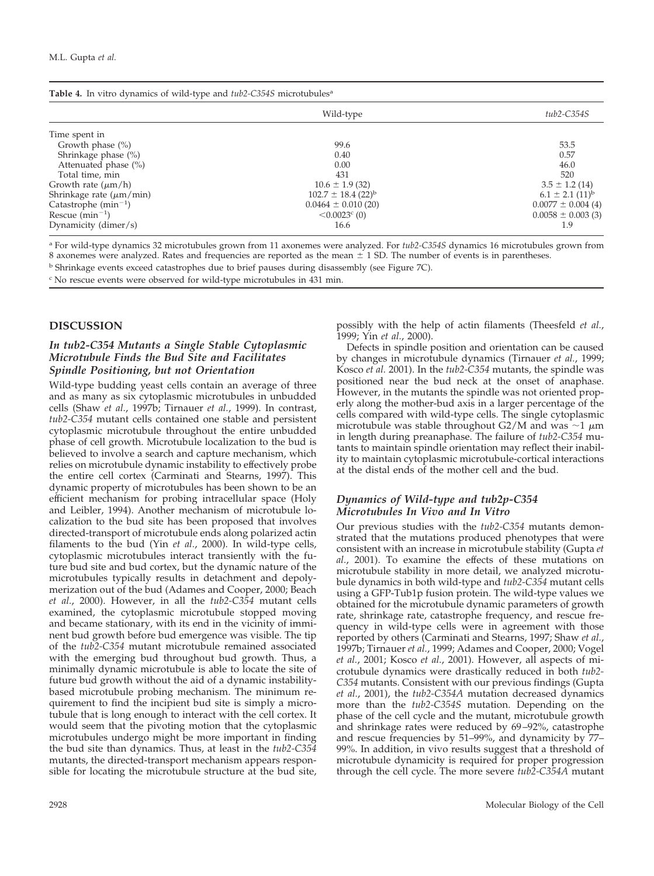| Table 4. In vitro dynamics of wild-type and tub2-C354S microtubules <sup>a</sup> |           |  |
|----------------------------------------------------------------------------------|-----------|--|
|                                                                                  | Wild-type |  |
| Time spent in                                                                    |           |  |
| Growth phase $(\% )$                                                             | 99.6      |  |
| Shrinkage phase $(\% )$                                                          | 0.40      |  |

| Growth phase $(\%)$          | 99.6                               | 53.5                            |
|------------------------------|------------------------------------|---------------------------------|
| Shrinkage phase $(\%)$       | 0.40                               | 0.57                            |
| Attenuated phase (%)         | 0.00                               | 46.0                            |
| Total time, min              | 431                                | 520                             |
| Growth rate $(\mu m/h)$      | $10.6 \pm 1.9$ (32)                | $3.5 \pm 1.2$ (14)              |
| Shrinkage rate $(\mu m/min)$ | $102.7 \pm 18.4$ (22) <sup>b</sup> | $6.1 \pm 2.1$ (11) <sup>b</sup> |
| Catastrophe $(min^{-1})$     | $0.0464 \pm 0.010(20)$             | $0.0077 \pm 0.004(4)$           |
| Rescue $(min^{-1})$          | $< 0.0023$ <sup>c</sup> (0)        | $0.0058 \pm 0.003$ (3)          |
| Dynamicity (dimer/s)         | 16.6                               |                                 |

<sup>a</sup> For wild-type dynamics 32 microtubules grown from 11 axonemes were analyzed. For *tub2-C354S* dynamics 16 microtubules grown from 8 axonemes were analyzed. Rates and frequencies are reported as the mean  $\pm$  1 SD. The number of events is in parentheses.

<sup>b</sup> Shrinkage events exceed catastrophes due to brief pauses during disassembly (see Figure 7C).

<sup>c</sup> No rescue events were observed for wild-type microtubules in 431 min.

#### **DISCUSSION**

#### *In tub2-C354 Mutants a Single Stable Cytoplasmic Microtubule Finds the Bud Site and Facilitates Spindle Positioning, but not Orientation*

Wild-type budding yeast cells contain an average of three and as many as six cytoplasmic microtubules in unbudded cells (Shaw *et al.*, 1997b; Tirnauer *et al.*, 1999). In contrast, *tub2-C354* mutant cells contained one stable and persistent cytoplasmic microtubule throughout the entire unbudded phase of cell growth. Microtubule localization to the bud is believed to involve a search and capture mechanism, which relies on microtubule dynamic instability to effectively probe the entire cell cortex (Carminati and Stearns, 1997). This dynamic property of microtubules has been shown to be an efficient mechanism for probing intracellular space (Holy and Leibler, 1994). Another mechanism of microtubule localization to the bud site has been proposed that involves directed-transport of microtubule ends along polarized actin filaments to the bud (Yin *et al.*, 2000). In wild-type cells, cytoplasmic microtubules interact transiently with the future bud site and bud cortex, but the dynamic nature of the microtubules typically results in detachment and depolymerization out of the bud (Adames and Cooper, 2000; Beach *et al.*, 2000). However, in all the *tub2-C354* mutant cells examined, the cytoplasmic microtubule stopped moving and became stationary, with its end in the vicinity of imminent bud growth before bud emergence was visible. The tip of the *tub2-C354* mutant microtubule remained associated with the emerging bud throughout bud growth. Thus, a minimally dynamic microtubule is able to locate the site of future bud growth without the aid of a dynamic instabilitybased microtubule probing mechanism. The minimum requirement to find the incipient bud site is simply a microtubule that is long enough to interact with the cell cortex. It would seem that the pivoting motion that the cytoplasmic microtubules undergo might be more important in finding the bud site than dynamics. Thus, at least in the *tub2-C354* mutants, the directed-transport mechanism appears responsible for locating the microtubule structure at the bud site,

possibly with the help of actin filaments (Theesfeld *et al.*, 1999; Yin *et al.*, 2000).

Wild-type *tub2-C354S*

Defects in spindle position and orientation can be caused by changes in microtubule dynamics (Tirnauer *et al.*, 1999; Kosco *et al.* 2001). In the *tub2-C354* mutants, the spindle was positioned near the bud neck at the onset of anaphase. However, in the mutants the spindle was not oriented properly along the mother-bud axis in a larger percentage of the cells compared with wild-type cells. The single cytoplasmic microtubule was stable throughout G2/M and was  $\sim$ 1  $\mu$ m in length during preanaphase. The failure of *tub2-C354* mutants to maintain spindle orientation may reflect their inability to maintain cytoplasmic microtubule-cortical interactions at the distal ends of the mother cell and the bud.

## *Dynamics of Wild-type and tub2p-C354 Microtubules In Vivo and In Vitro*

Our previous studies with the *tub2-C354* mutants demonstrated that the mutations produced phenotypes that were consistent with an increase in microtubule stability (Gupta *et al.*, 2001). To examine the effects of these mutations on microtubule stability in more detail, we analyzed microtubule dynamics in both wild-type and *tub2-C354* mutant cells using a GFP-Tub1p fusion protein. The wild-type values we obtained for the microtubule dynamic parameters of growth rate, shrinkage rate, catastrophe frequency, and rescue frequency in wild-type cells were in agreement with those reported by others (Carminati and Stearns, 1997; Shaw *et al.*, 1997b; Tirnauer *et al.*, 1999; Adames and Cooper, 2000; Vogel *et al.*, 2001; Kosco *et al.*, 2001). However, all aspects of microtubule dynamics were drastically reduced in both *tub2- C354* mutants. Consistent with our previous findings (Gupta *et al.*, 2001), the *tub2-C354A* mutation decreased dynamics more than the *tub2-C354S* mutation. Depending on the phase of the cell cycle and the mutant, microtubule growth and shrinkage rates were reduced by 69–92%, catastrophe and rescue frequencies by 51–99%, and dynamicity by 77– 99%. In addition, in vivo results suggest that a threshold of microtubule dynamicity is required for proper progression through the cell cycle. The more severe *tub2-C354A* mutant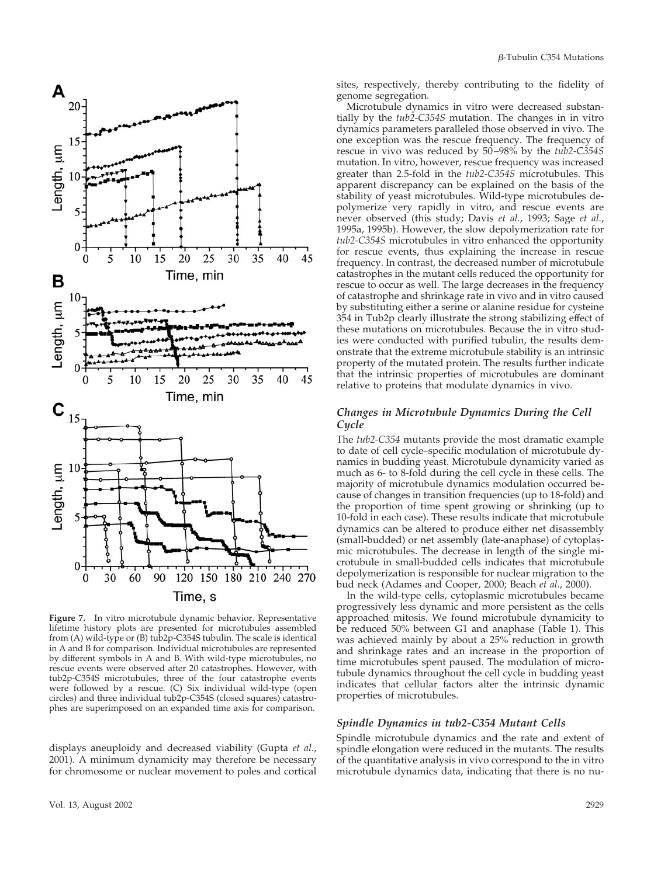

**Figure 7.** In vitro microtubule dynamic behavior. Representative lifetime history plots are presented for microtubules assembled from (A) wild-type or (B) tub2p-C354S tubulin. The scale is identical in A and B for comparison. Individual microtubules are represented by different symbols in A and B. With wild-type microtubules, no rescue events were observed after 20 catastrophes. However, with tub2p-C354S microtubules, three of the four catastrophe events were followed by a rescue. (C) Six individual wild-type (open circles) and three individual tub2p-C354S (closed squares) catastrophes are superimposed on an expanded time axis for comparison.

displays aneuploidy and decreased viability (Gupta *et al.*, 2001). A minimum dynamicity may therefore be necessary for chromosome or nuclear movement to poles and cortical

sites, respectively, thereby contributing to the fidelity of genome segregation.

Microtubule dynamics in vitro were decreased substantially by the *tub2-C354S* mutation. The changes in in vitro dynamics parameters paralleled those observed in vivo. The one exception was the rescue frequency. The frequency of rescue in vivo was reduced by 50–98% by the *tub2-C354S* mutation. In vitro, however, rescue frequency was increased greater than 2.5-fold in the *tub2-C354S* microtubules. This apparent discrepancy can be explained on the basis of the stability of yeast microtubules. Wild-type microtubules depolymerize very rapidly in vitro, and rescue events are never observed (this study; Davis *et al.*, 1993; Sage *et al.*, 1995a, 1995b). However, the slow depolymerization rate for *tub2-C354S* microtubules in vitro enhanced the opportunity for rescue events, thus explaining the increase in rescue frequency. In contrast, the decreased number of microtubule catastrophes in the mutant cells reduced the opportunity for rescue to occur as well. The large decreases in the frequency of catastrophe and shrinkage rate in vivo and in vitro caused by substituting either a serine or alanine residue for cysteine 354 in Tub2p clearly illustrate the strong stabilizing effect of these mutations on microtubules. Because the in vitro studies were conducted with purified tubulin, the results demonstrate that the extreme microtubule stability is an intrinsic property of the mutated protein. The results further indicate that the intrinsic properties of microtubules are dominant relative to proteins that modulate dynamics in vivo.

#### *Changes in Microtubule Dynamics During the Cell Cycle*

The *tub2-C354* mutants provide the most dramatic example to date of cell cycle–specific modulation of microtubule dynamics in budding yeast. Microtubule dynamicity varied as much as 6- to 8-fold during the cell cycle in these cells. The majority of microtubule dynamics modulation occurred because of changes in transition frequencies (up to 18-fold) and the proportion of time spent growing or shrinking (up to 10-fold in each case). These results indicate that microtubule dynamics can be altered to produce either net disassembly (small-budded) or net assembly (late-anaphase) of cytoplasmic microtubules. The decrease in length of the single microtubule in small-budded cells indicates that microtubule depolymerization is responsible for nuclear migration to the bud neck (Adames and Cooper, 2000; Beach *et al.*, 2000).

In the wild-type cells, cytoplasmic microtubules became progressively less dynamic and more persistent as the cells approached mitosis. We found microtubule dynamicity to be reduced 50% between G1 and anaphase (Table 1). This was achieved mainly by about a 25% reduction in growth and shrinkage rates and an increase in the proportion of time microtubules spent paused. The modulation of microtubule dynamics throughout the cell cycle in budding yeast indicates that cellular factors alter the intrinsic dynamic properties of microtubules.

#### *Spindle Dynamics in tub2-C354 Mutant Cells*

Spindle microtubule dynamics and the rate and extent of spindle elongation were reduced in the mutants. The results of the quantitative analysis in vivo correspond to the in vitro microtubule dynamics data, indicating that there is no nu-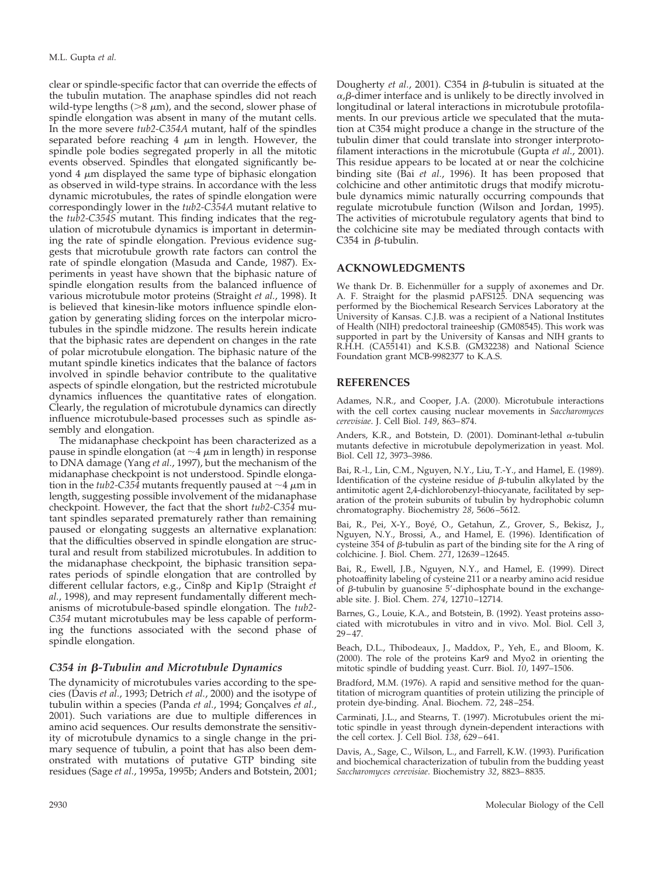clear or spindle-specific factor that can override the effects of the tubulin mutation. The anaphase spindles did not reach wild-type lengths ( $>8 \mu$ m), and the second, slower phase of spindle elongation was absent in many of the mutant cells. In the more severe *tub2-C354A* mutant, half of the spindles separated before reaching 4  $\mu$ m in length. However, the spindle pole bodies segregated properly in all the mitotic events observed. Spindles that elongated significantly beyond 4  $\mu$ m displayed the same type of biphasic elongation as observed in wild-type strains. In accordance with the less dynamic microtubules, the rates of spindle elongation were correspondingly lower in the *tub2-C354A* mutant relative to the *tub2-C354S* mutant. This finding indicates that the regulation of microtubule dynamics is important in determining the rate of spindle elongation. Previous evidence suggests that microtubule growth rate factors can control the rate of spindle elongation (Masuda and Cande, 1987). Experiments in yeast have shown that the biphasic nature of spindle elongation results from the balanced influence of various microtubule motor proteins (Straight *et al.*, 1998). It is believed that kinesin-like motors influence spindle elongation by generating sliding forces on the interpolar microtubules in the spindle midzone. The results herein indicate that the biphasic rates are dependent on changes in the rate of polar microtubule elongation. The biphasic nature of the mutant spindle kinetics indicates that the balance of factors involved in spindle behavior contribute to the qualitative aspects of spindle elongation, but the restricted microtubule dynamics influences the quantitative rates of elongation. Clearly, the regulation of microtubule dynamics can directly influence microtubule-based processes such as spindle assembly and elongation.

The midanaphase checkpoint has been characterized as a pause in spindle elongation (at  $\sim$ 4  $\mu$ m in length) in response to DNA damage (Yang *et al.*, 1997), but the mechanism of the midanaphase checkpoint is not understood. Spindle elongation in the *tub2-C354* mutants frequently paused at  $\sim$ 4  $\mu$ m in length, suggesting possible involvement of the midanaphase checkpoint. However, the fact that the short *tub2-C354* mutant spindles separated prematurely rather than remaining paused or elongating suggests an alternative explanation: that the difficulties observed in spindle elongation are structural and result from stabilized microtubules. In addition to the midanaphase checkpoint, the biphasic transition separates periods of spindle elongation that are controlled by different cellular factors, e.g., Cin8p and Kip1p (Straight *et al.*, 1998), and may represent fundamentally different mechanisms of microtubule-based spindle elongation. The *tub2- C354* mutant microtubules may be less capable of performing the functions associated with the second phase of spindle elongation.

#### *C354 in β-Tubulin and Microtubule Dynamics*

The dynamicity of microtubules varies according to the species (Davis *et al.*, 1993; Detrich *et al.*, 2000) and the isotype of tubulin within a species (Panda et al., 1994; Gonçalves et al., 2001). Such variations are due to multiple differences in amino acid sequences. Our results demonstrate the sensitivity of microtubule dynamics to a single change in the primary sequence of tubulin, a point that has also been demonstrated with mutations of putative GTP binding site residues (Sage *et al.*, 1995a, 1995b; Anders and Botstein, 2001; Dougherty *et al.*, 2001). C354 in *B*-tubulin is situated at the  $\alpha$ ,β-dimer interface and is unlikely to be directly involved in longitudinal or lateral interactions in microtubule protofilaments. In our previous article we speculated that the mutation at C354 might produce a change in the structure of the tubulin dimer that could translate into stronger interprotofilament interactions in the microtubule (Gupta *et al.*, 2001). This residue appears to be located at or near the colchicine binding site (Bai *et al.*, 1996). It has been proposed that colchicine and other antimitotic drugs that modify microtubule dynamics mimic naturally occurring compounds that regulate microtubule function (Wilson and Jordan, 1995). The activities of microtubule regulatory agents that bind to the colchicine site may be mediated through contacts with C354 in  $\beta$ -tubulin.

#### **ACKNOWLEDGMENTS**

We thank Dr. B. Eichenmüller for a supply of axonemes and Dr. A. F. Straight for the plasmid pAFS125. DNA sequencing was performed by the Biochemical Research Services Laboratory at the University of Kansas. C.J.B. was a recipient of a National Institutes of Health (NIH) predoctoral traineeship (GM08545). This work was supported in part by the University of Kansas and NIH grants to R.H.H. (CA55141) and K.S.B. (GM32238) and National Science Foundation grant MCB-9982377 to K.A.S.

#### **REFERENCES**

Adames, N.R., and Cooper, J.A. (2000). Microtubule interactions with the cell cortex causing nuclear movements in *Saccharomyces cerevisiae*. J. Cell Biol. *149*, 863–874.

Anders, K.R., and Botstein, D. (2001). Dominant-lethal  $\alpha$ -tubulin mutants defective in microtubule depolymerization in yeast. Mol. Biol. Cell *12*, 3973–3986.

Bai, R.-l., Lin, C.M., Nguyen, N.Y., Liu, T.-Y., and Hamel, E. (1989). Identification of the cysteine residue of  $\beta$ -tubulin alkylated by the antimitotic agent 2,4-dichlorobenzyl-thiocyanate, facilitated by separation of the protein subunits of tubulin by hydrophobic column chromatography. Biochemistry *28*, 5606–5612.

Bai, R., Pei, X-Y., Boyé, O., Getahun, Z., Grover, S., Bekisz, J., Nguyen, N.Y., Brossi, A., and Hamel, E. (1996). Identification of cysteine 354 of  $\beta$ -tubulin as part of the binding site for the A ring of colchicine. J. Biol. Chem. *271*, 12639–12645.

Bai, R., Ewell, J.B., Nguyen, N.Y., and Hamel, E. (1999). Direct photoaffinity labeling of cysteine 211 or a nearby amino acid residue of  $\beta$ -tubulin by guanosine 5'-diphosphate bound in the exchangeable site. J. Biol. Chem. *274*, 12710–12714.

Barnes, G., Louie, K.A., and Botstein, B. (1992). Yeast proteins associated with microtubules in vitro and in vivo. Mol. Biol. Cell *3*, 29–47.

Beach, D.L., Thibodeaux, J., Maddox, P., Yeh, E., and Bloom, K. (2000). The role of the proteins Kar9 and Myo2 in orienting the mitotic spindle of budding yeast. Curr. Biol. *10*, 1497–1506.

Bradford, M.M. (1976). A rapid and sensitive method for the quantitation of microgram quantities of protein utilizing the principle of protein dye-binding. Anal. Biochem. *72*, 248–254.

Carminati, J.L., and Stearns, T. (1997). Microtubules orient the mitotic spindle in yeast through dynein-dependent interactions with the cell cortex. J. Cell Biol. *138*, 629–641.

Davis, A., Sage, C., Wilson, L., and Farrell, K.W. (1993). Purification and biochemical characterization of tubulin from the budding yeast *Saccharomyces cerevisiae*. Biochemistry *32*, 8823–8835.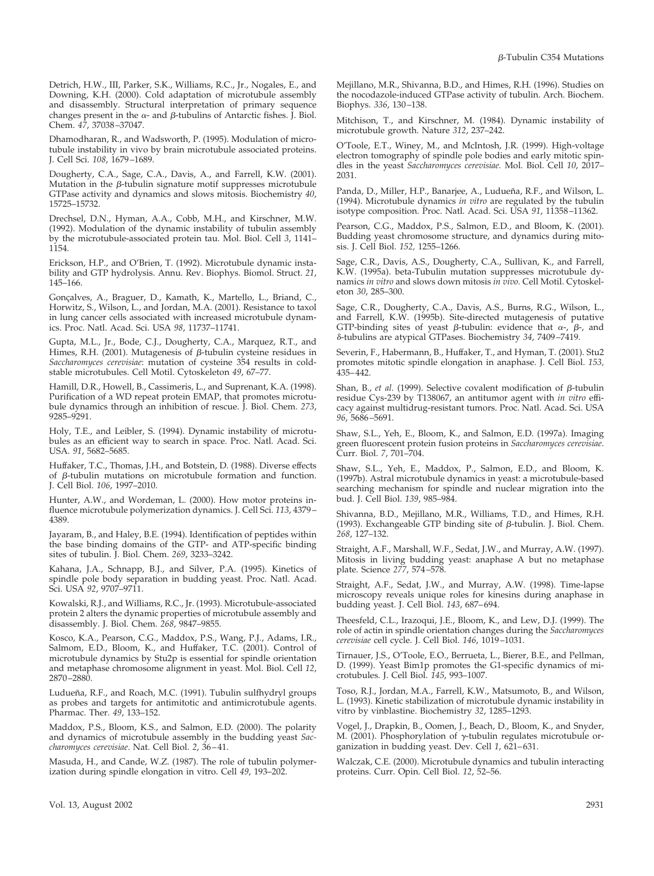Detrich, H.W., III, Parker, S.K., Williams, R.C., Jr., Nogales, E., and Downing, K.H. (2000). Cold adaptation of microtubule assembly and disassembly. Structural interpretation of primary sequence changes present in the  $\alpha$ - and  $\beta$ -tubulins of Antarctic fishes. J. Biol. Chem. *47*, 37038–37047.

Dhamodharan, R., and Wadsworth, P. (1995). Modulation of microtubule instability in vivo by brain microtubule associated proteins. J. Cell Sci. *108*, 1679–1689.

Dougherty, C.A., Sage, C.A., Davis, A., and Farrell, K.W. (2001). Mutation in the  $\beta$ -tubulin signature motif suppresses microtubule GTPase activity and dynamics and slows mitosis. Biochemistry *40*, 15725–15732.

Drechsel, D.N., Hyman, A.A., Cobb, M.H., and Kirschner, M.W. (1992). Modulation of the dynamic instability of tubulin assembly by the microtubule-associated protein tau. Mol. Biol. Cell *3*, 1141– 1154.

Erickson, H.P., and O'Brien, T. (1992). Microtubule dynamic instability and GTP hydrolysis. Annu. Rev. Biophys. Biomol. Struct. *21*, 145–166.

Gonçalves, A., Braguer, D., Kamath, K., Martello, L., Briand, C. Horwitz, S., Wilson, L., and Jordan, M.A. (2001). Resistance to taxol in lung cancer cells associated with increased microtubule dynamics. Proc. Natl. Acad. Sci. USA *98*, 11737–11741.

Gupta, M.L., Jr., Bode, C.J., Dougherty, C.A., Marquez, R.T., and Himes, R.H. (2001). Mutagenesis of  $\beta$ -tubulin cysteine residues in *Saccharomyces cerevisiae*: mutation of cysteine 354 results in coldstable microtubules. Cell Motil. Cytoskeleton *49*, 67–77.

Hamill, D.R., Howell, B., Cassimeris, L., and Suprenant, K.A. (1998). Purification of a WD repeat protein EMAP, that promotes microtubule dynamics through an inhibition of rescue. J. Biol. Chem. *273*, 9285–9291.

Holy, T.E., and Leibler, S. (1994). Dynamic instability of microtubules as an efficient way to search in space. Proc. Natl. Acad. Sci. USA. *91*, 5682–5685.

Huffaker, T.C., Thomas, J.H., and Botstein, D. (1988). Diverse effects of  $\beta$ -tubulin mutations on microtubule formation and function. J. Cell Biol. *106*, 1997–2010.

Hunter, A.W., and Wordeman, L. (2000). How motor proteins influence microtubule polymerization dynamics. J. Cell Sci. *113*, 4379– 4389.

Jayaram, B., and Haley, B.E. (1994). Identification of peptides within the base binding domains of the GTP- and ATP-specific binding sites of tubulin. J. Biol. Chem. *269*, 3233–3242.

Kahana, J.A., Schnapp, B.J., and Silver, P.A. (1995). Kinetics of spindle pole body separation in budding yeast. Proc. Natl. Acad. Sci. USA *92*, 9707–9711.

Kowalski, R.J., and Williams, R.C., Jr. (1993). Microtubule-associated protein 2 alters the dynamic properties of microtubule assembly and disassembly. J. Biol. Chem. *268*, 9847–9855.

Kosco, K.A., Pearson, C.G., Maddox, P.S., Wang, P.J., Adams, I.R., Salmom, E.D., Bloom, K., and Huffaker, T.C. (2001). Control of microtubule dynamics by Stu2p is essential for spindle orientation and metaphase chromosome alignment in yeast. Mol. Biol. Cell *12*, 2870–2880.

Ludueña, R.F., and Roach, M.C. (1991). Tubulin sulfhydryl groups as probes and targets for antimitotic and antimicrotubule agents. Pharmac. Ther. *49*, 133–152.

Maddox, P.S., Bloom, K.S., and Salmon, E.D. (2000). The polarity and dynamics of microtubule assembly in the budding yeast *Saccharomyces cerevisiae*. Nat. Cell Biol. *2*, 36–41.

Masuda, H., and Cande, W.Z. (1987). The role of tubulin polymerization during spindle elongation in vitro. Cell *49*, 193–202.

Mejillano, M.R., Shivanna, B.D., and Himes, R.H. (1996). Studies on the nocodazole-induced GTPase activity of tubulin. Arch. Biochem. Biophys. *336*, 130–138.

Mitchison, T., and Kirschner, M. (1984). Dynamic instability of microtubule growth. Nature *312*, 237–242.

O'Toole, E.T., Winey, M., and McIntosh, J.R. (1999). High-voltage electron tomography of spindle pole bodies and early mitotic spindles in the yeast *Saccharomyces cerevisiae.* Mol. Biol. Cell *10*, 2017– 2031.

Panda, D., Miller, H.P., Banarjee, A., Ludueña, R.F., and Wilson, L. (1994). Microtubule dynamics *in vitro* are regulated by the tubulin isotype composition. Proc. Natl. Acad. Sci. USA *91*, 11358–11362.

Pearson, C.G., Maddox, P.S., Salmon, E.D., and Bloom, K. (2001). Budding yeast chromosome structure, and dynamics during mitosis. J. Cell Biol. *152,* 1255–1266.

Sage, C.R., Davis, A.S., Dougherty, C.A., Sullivan, K., and Farrell, K.W. (1995a). beta-Tubulin mutation suppresses microtubule dynamics *in vitro* and slows down mitosis *in vivo.* Cell Motil. Cytoskeleton *30*, 285–300.

Sage, C.R., Dougherty, C.A., Davis, A.S., Burns, R.G., Wilson, L., and Farrell, K.W. (1995b). Site-directed mutagenesis of putative GTP-binding sites of yeast  $\beta$ -tubulin: evidence that  $\alpha$ -,  $\beta$ -, and -tubulins are atypical GTPases. Biochemistry *34*, 7409–7419.

Severin, F., Habermann, B., Huffaker, T., and Hyman, T. (2001). Stu2 promotes mitotic spindle elongation in anaphase. J. Cell Biol. *153,* 435–442.

Shan, B., *et al.* (1999). Selective covalent modification of  $\beta$ -tubulin residue Cys-239 by T138067, an antitumor agent with *in vitro* efficacy against multidrug-resistant tumors. Proc. Natl. Acad. Sci. USA *96*, 5686–5691.

Shaw, S.L., Yeh, E., Bloom, K., and Salmon, E.D. (1997a). Imaging green fluorescent protein fusion proteins in *Saccharomyces cerevisiae*. Curr. Biol. *7*, 701–704.

Shaw, S.L., Yeh, E., Maddox, P., Salmon, E.D., and Bloom, K. (1997b). Astral microtubule dynamics in yeast: a microtubule-based searching mechanism for spindle and nuclear migration into the bud. J. Cell Biol. *139*, 985–984.

Shivanna, B.D., Mejillano, M.R., Williams, T.D., and Himes, R.H. (1993). Exchangeable GTP binding site of  $\beta$ -tubulin. J. Biol. Chem. *268*, 127–132.

Straight, A.F., Marshall, W.F., Sedat, J.W., and Murray, A.W. (1997). Mitosis in living budding yeast: anaphase A but no metaphase plate. Science *277*, 574–578.

Straight, A.F., Sedat, J.W., and Murray, A.W. (1998). Time-lapse microscopy reveals unique roles for kinesins during anaphase in budding yeast. J. Cell Biol. *143*, 687–694.

Theesfeld, C.L., Irazoqui, J.E., Bloom, K., and Lew, D.J. (1999). The role of actin in spindle orientation changes during the *Saccharomyces cerevisiae* cell cycle. J. Cell Biol. *146*, 1019–1031.

Tirnauer, J.S., O'Toole, E.O., Berrueta, L., Bierer, B.E., and Pellman, D. (1999). Yeast Bim1p promotes the G1-specific dynamics of microtubules. J. Cell Biol. *145*, 993–1007.

Toso, R.J., Jordan, M.A., Farrell, K.W., Matsumoto, B., and Wilson, L. (1993). Kinetic stabilization of microtubule dynamic instability in vitro by vinblastine. Biochemistry *32*, 1285–1293.

Vogel, J., Drapkin, B., Oomen, J., Beach, D., Bloom, K., and Snyder, M. (2001). Phosphorylation of  $\gamma$ -tubulin regulates microtubule organization in budding yeast. Dev. Cell *1*, 621–631.

Walczak, C.E. (2000). Microtubule dynamics and tubulin interacting proteins. Curr. Opin. Cell Biol. *12*, 52–56.